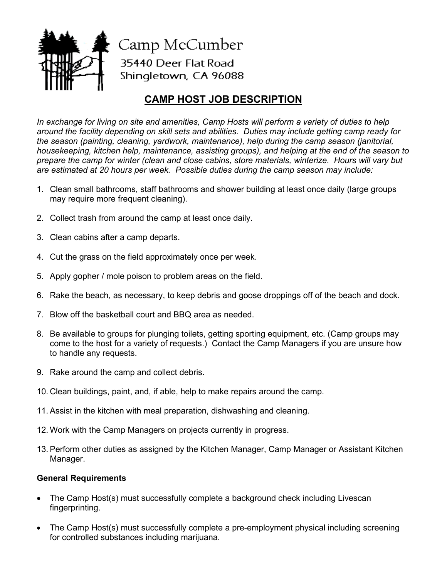

Camp McCumber 35440 Deer Flat Road Shingletown, CA 96088

## **CAMP HOST JOB DESCRIPTION**

*In exchange for living on site and amenities, Camp Hosts will perform a variety of duties to help around the facility depending on skill sets and abilities. Duties may include getting camp ready for the season (painting, cleaning, yardwork, maintenance), help during the camp season (janitorial, housekeeping, kitchen help, maintenance, assisting groups), and helping at the end of the season to prepare the camp for winter (clean and close cabins, store materials, winterize. Hours will vary but are estimated at 20 hours per week. Possible duties during the camp season may include:*

- 1. Clean small bathrooms, staff bathrooms and shower building at least once daily (large groups may require more frequent cleaning).
- 2. Collect trash from around the camp at least once daily.
- 3. Clean cabins after a camp departs.
- 4. Cut the grass on the field approximately once per week.
- 5. Apply gopher / mole poison to problem areas on the field.
- 6. Rake the beach, as necessary, to keep debris and goose droppings off of the beach and dock.
- 7. Blow off the basketball court and BBQ area as needed.
- 8. Be available to groups for plunging toilets, getting sporting equipment, etc. (Camp groups may come to the host for a variety of requests.) Contact the Camp Managers if you are unsure how to handle any requests.
- 9. Rake around the camp and collect debris.
- 10. Clean buildings, paint, and, if able, help to make repairs around the camp.
- 11. Assist in the kitchen with meal preparation, dishwashing and cleaning.
- 12. Work with the Camp Managers on projects currently in progress.
- 13. Perform other duties as assigned by the Kitchen Manager, Camp Manager or Assistant Kitchen Manager.

## **General Requirements**

- The Camp Host(s) must successfully complete a background check including Livescan fingerprinting.
- The Camp Host(s) must successfully complete a pre-employment physical including screening for controlled substances including marijuana.